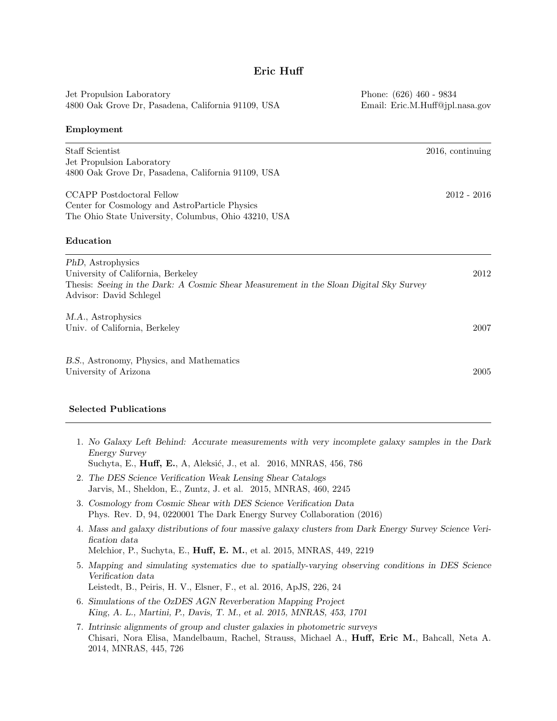| Jet Propulsion Laboratory<br>4800 Oak Grove Dr, Pasadena, California 91109, USA                                                                                              | Phone: (626) 460 - 9834<br>Email: Eric.M.Huff@jpl.nasa.gov |
|------------------------------------------------------------------------------------------------------------------------------------------------------------------------------|------------------------------------------------------------|
| Employment                                                                                                                                                                   |                                                            |
| Staff Scientist<br>Jet Propulsion Laboratory<br>4800 Oak Grove Dr, Pasadena, California 91109, USA                                                                           | 2016, continuing                                           |
| <b>CCAPP</b> Postdoctoral Fellow<br>Center for Cosmology and AstroParticle Physics<br>The Ohio State University, Columbus, Ohio 43210, USA                                   | $2012 - 2016$                                              |
| Education                                                                                                                                                                    |                                                            |
| PhD, Astrophysics<br>University of California, Berkeley<br>Thesis: Seeing in the Dark: A Cosmic Shear Measurement in the Sloan Digital Sky Survey<br>Advisor: David Schlegel | 2012                                                       |
| M.A., Astrophysics<br>Univ. of California, Berkeley                                                                                                                          | 2007                                                       |
| B.S., Astronomy, Physics, and Mathematics<br>University of Arizona                                                                                                           | 2005                                                       |

### Selected Publications

- 1. No Galaxy Left Behind: Accurate measurements with very incomplete galaxy samples in the Dark Energy Survey
	- Suchyta, E., **Huff, E.**, A, Aleksić, J., et al. 2016, MNRAS, 456, 786
- 2. The DES Science Verification Weak Lensing Shear Catalogs Jarvis, M., Sheldon, E., Zuntz, J. et al. 2015, MNRAS, 460, 2245
- 3. Cosmology from Cosmic Shear with DES Science Verification Data Phys. Rev. D, 94, 0220001 The Dark Energy Survey Collaboration (2016)
- 4. Mass and galaxy distributions of four massive galaxy clusters from Dark Energy Survey Science Verification data Melchior, P., Suchyta, E., Huff, E. M., et al. 2015, MNRAS, 449, 2219
- 5. Mapping and simulating systematics due to spatially-varying observing conditions in DES Science Verification data
- Leistedt, B., Peiris, H. V., Elsner, F., et al. 2016, ApJS, 226, 24 6. Simulations of the OzDES AGN Reverberation Mapping Project
- King, A. L., Martini, P., Davis, T. M., et al. 2015, MNRAS, 453, 1701
- 7. Intrinsic alignments of group and cluster galaxies in photometric surveys Chisari, Nora Elisa, Mandelbaum, Rachel, Strauss, Michael A., Huff, Eric M., Bahcall, Neta A. 2014, MNRAS, 445, 726

# Eric Huff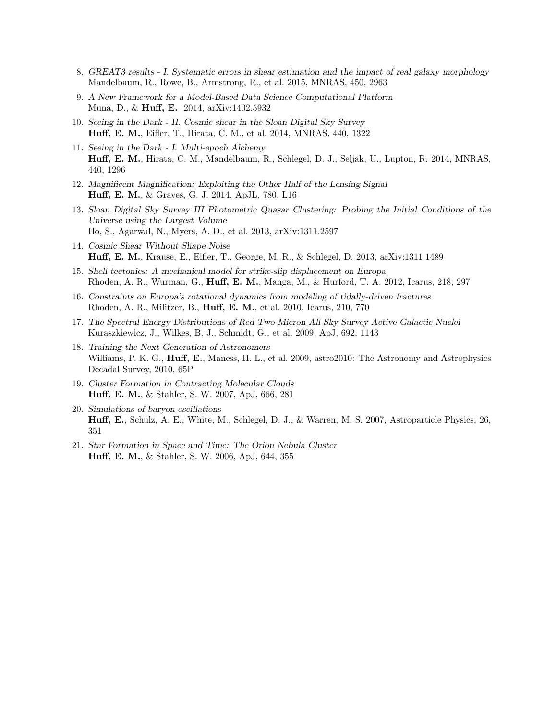- 8. GREAT3 results I. Systematic errors in shear estimation and the impact of real galaxy morphology Mandelbaum, R., Rowe, B., Armstrong, R., et al. 2015, MNRAS, 450, 2963
- 9. A New Framework for a Model-Based Data Science Computational Platform Muna, D., & Huff, E. 2014, arXiv:1402.5932
- 10. Seeing in the Dark II. Cosmic shear in the Sloan Digital Sky Survey Huff, E. M., Eifler, T., Hirata, C. M., et al. 2014, MNRAS, 440, 1322
- 11. Seeing in the Dark I. Multi-epoch Alchemy Huff, E. M., Hirata, C. M., Mandelbaum, R., Schlegel, D. J., Seljak, U., Lupton, R. 2014, MNRAS, 440, 1296
- 12. Magnificent Magnification: Exploiting the Other Half of the Lensing Signal Huff, E. M., & Graves, G. J. 2014, ApJL, 780, L16
- 13. Sloan Digital Sky Survey III Photometric Quasar Clustering: Probing the Initial Conditions of the Universe using the Largest Volume Ho, S., Agarwal, N., Myers, A. D., et al. 2013, arXiv:1311.2597
- 14. Cosmic Shear Without Shape Noise Huff, E. M., Krause, E., Eifler, T., George, M. R., & Schlegel, D. 2013, arXiv:1311.1489
- 15. Shell tectonics: A mechanical model for strike-slip displacement on Europa Rhoden, A. R., Wurman, G., Huff, E. M., Manga, M., & Hurford, T. A. 2012, Icarus, 218, 297
- 16. Constraints on Europa's rotational dynamics from modeling of tidally-driven fractures Rhoden, A. R., Militzer, B., Huff, E. M., et al. 2010, Icarus, 210, 770
- 17. The Spectral Energy Distributions of Red Two Micron All Sky Survey Active Galactic Nuclei Kuraszkiewicz, J., Wilkes, B. J., Schmidt, G., et al. 2009, ApJ, 692, 1143
- 18. Training the Next Generation of Astronomers Williams, P. K. G., **Huff, E.**, Maness, H. L., et al. 2009, astro2010: The Astronomy and Astrophysics Decadal Survey, 2010, 65P
- 19. Cluster Formation in Contracting Molecular Clouds Huff, E. M., & Stahler, S. W. 2007, ApJ, 666, 281
- 20. Simulations of baryon oscillations Huff, E., Schulz, A. E., White, M., Schlegel, D. J., & Warren, M. S. 2007, Astroparticle Physics, 26, 351
- 21. Star Formation in Space and Time: The Orion Nebula Cluster Huff, E. M., & Stahler, S. W. 2006, ApJ, 644, 355